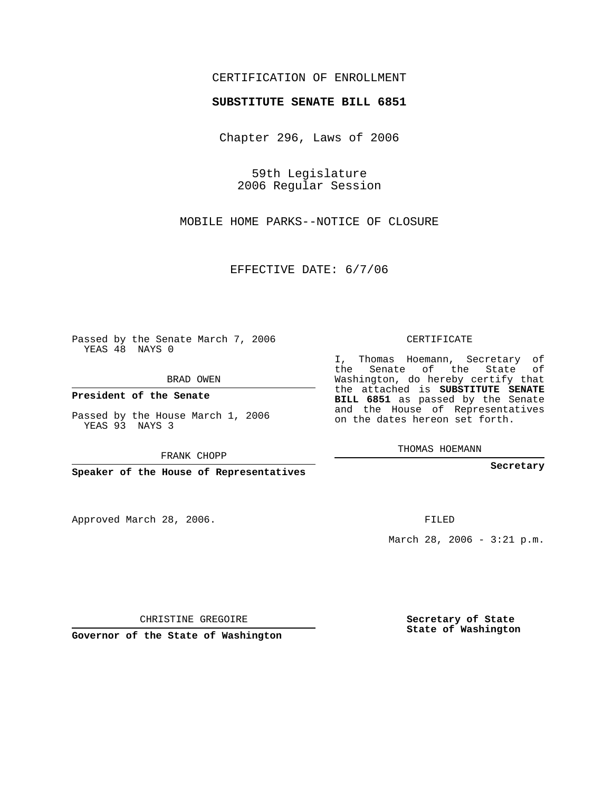## CERTIFICATION OF ENROLLMENT

## **SUBSTITUTE SENATE BILL 6851**

Chapter 296, Laws of 2006

59th Legislature 2006 Regular Session

MOBILE HOME PARKS--NOTICE OF CLOSURE

EFFECTIVE DATE: 6/7/06

Passed by the Senate March 7, 2006 YEAS 48 NAYS 0

BRAD OWEN

**President of the Senate**

Passed by the House March 1, 2006 YEAS 93 NAYS 3

FRANK CHOPP

**Speaker of the House of Representatives**

Approved March 28, 2006.

CERTIFICATE

I, Thomas Hoemann, Secretary of the Senate of the State of Washington, do hereby certify that the attached is **SUBSTITUTE SENATE BILL 6851** as passed by the Senate and the House of Representatives on the dates hereon set forth.

THOMAS HOEMANN

**Secretary**

FILED

March 28, 2006 - 3:21 p.m.

CHRISTINE GREGOIRE

**Governor of the State of Washington**

**Secretary of State State of Washington**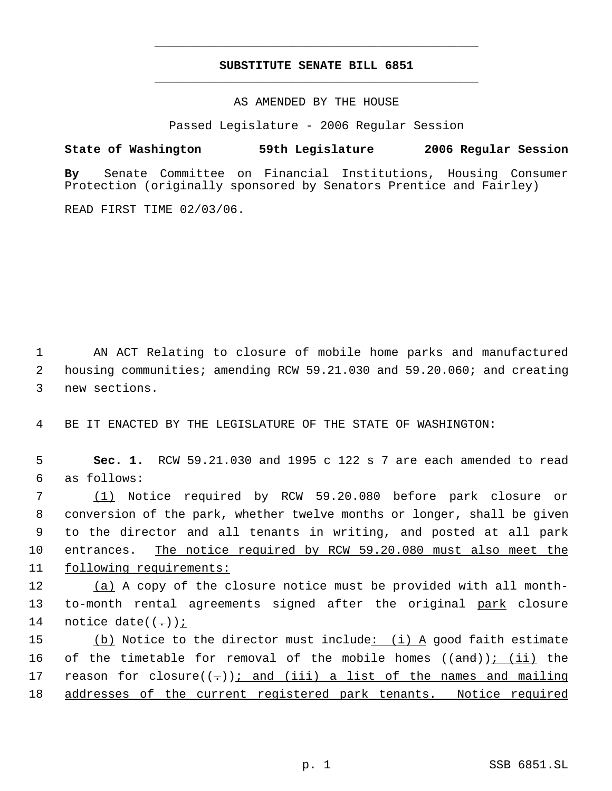## **SUBSTITUTE SENATE BILL 6851** \_\_\_\_\_\_\_\_\_\_\_\_\_\_\_\_\_\_\_\_\_\_\_\_\_\_\_\_\_\_\_\_\_\_\_\_\_\_\_\_\_\_\_\_\_

\_\_\_\_\_\_\_\_\_\_\_\_\_\_\_\_\_\_\_\_\_\_\_\_\_\_\_\_\_\_\_\_\_\_\_\_\_\_\_\_\_\_\_\_\_

AS AMENDED BY THE HOUSE

Passed Legislature - 2006 Regular Session

## **State of Washington 59th Legislature 2006 Regular Session**

**By** Senate Committee on Financial Institutions, Housing Consumer Protection (originally sponsored by Senators Prentice and Fairley)

READ FIRST TIME 02/03/06.

 1 AN ACT Relating to closure of mobile home parks and manufactured 2 housing communities; amending RCW 59.21.030 and 59.20.060; and creating 3 new sections.

4 BE IT ENACTED BY THE LEGISLATURE OF THE STATE OF WASHINGTON:

 5 **Sec. 1.** RCW 59.21.030 and 1995 c 122 s 7 are each amended to read 6 as follows:

 (1) Notice required by RCW 59.20.080 before park closure or conversion of the park, whether twelve months or longer, shall be given to the director and all tenants in writing, and posted at all park entrances. The notice required by RCW 59.20.080 must also meet the following requirements:

12 (a) A copy of the closure notice must be provided with all month-13 to-month rental agreements signed after the original park closure 14 notice date( $(-)$ );

15  $(b)$  Notice to the director must include: (i) A good faith estimate 16 of the timetable for removal of the mobile homes  $((and))$ ;  $(ii)$  the 17 reason for closure $((-))$ ; and (iii) a list of the names and mailing 18 addresses of the current registered park tenants. Notice required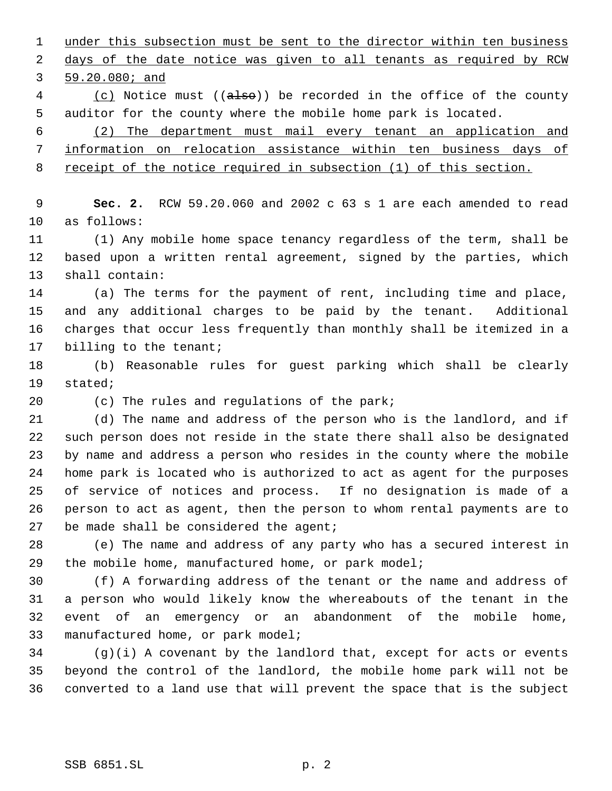1 under this subsection must be sent to the director within ten business 2 days of the date notice was given to all tenants as required by RCW 59.20.080; and 4 (c) Notice must ((also)) be recorded in the office of the county auditor for the county where the mobile home park is located. (2) The department must mail every tenant an application and information on relocation assistance within ten business days of receipt of the notice required in subsection (1) of this section. **Sec. 2.** RCW 59.20.060 and 2002 c 63 s 1 are each amended to read as follows: (1) Any mobile home space tenancy regardless of the term, shall be based upon a written rental agreement, signed by the parties, which shall contain: (a) The terms for the payment of rent, including time and place, and any additional charges to be paid by the tenant. Additional charges that occur less frequently than monthly shall be itemized in a 17 billing to the tenant; (b) Reasonable rules for guest parking which shall be clearly stated; (c) The rules and regulations of the park; (d) The name and address of the person who is the landlord, and if such person does not reside in the state there shall also be designated by name and address a person who resides in the county where the mobile home park is located who is authorized to act as agent for the purposes of service of notices and process. If no designation is made of a person to act as agent, then the person to whom rental payments are to 27 be made shall be considered the agent; (e) The name and address of any party who has a secured interest in the mobile home, manufactured home, or park model; (f) A forwarding address of the tenant or the name and address of a person who would likely know the whereabouts of the tenant in the event of an emergency or an abandonment of the mobile home, manufactured home, or park model; (g)(i) A covenant by the landlord that, except for acts or events beyond the control of the landlord, the mobile home park will not be converted to a land use that will prevent the space that is the subject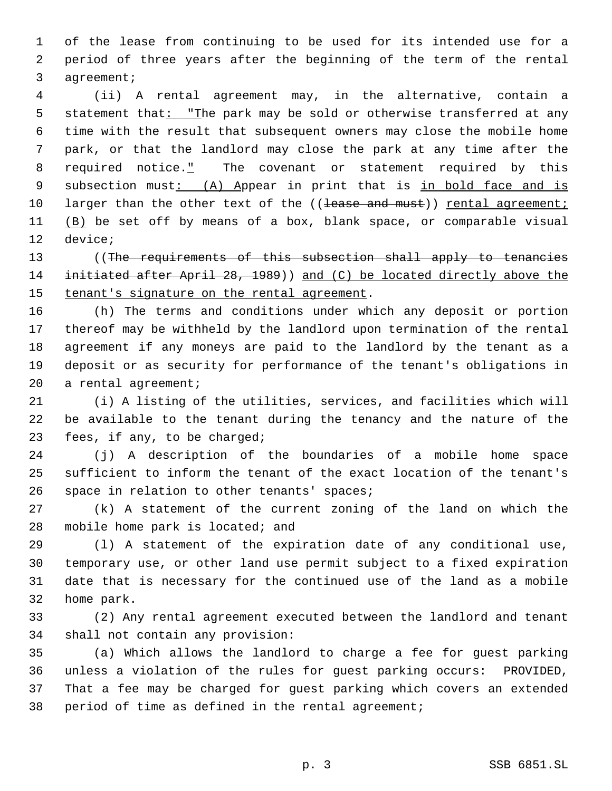of the lease from continuing to be used for its intended use for a period of three years after the beginning of the term of the rental agreement;

 (ii) A rental agreement may, in the alternative, contain a 5 statement that: "The park may be sold or otherwise transferred at any time with the result that subsequent owners may close the mobile home park, or that the landlord may close the park at any time after the 8 required notice." The covenant or statement required by this 9 subsection must: (A) Appear in print that is in bold face and is 10 larger than the other text of the ((lease and must)) rental agreement; 11 (B) be set off by means of a box, blank space, or comparable visual device;

13 ((The requirements of this subsection shall apply to tenancies 14 initiated after April 28, 1989) and (C) be located directly above the 15 tenant's signature on the rental agreement.

 (h) The terms and conditions under which any deposit or portion thereof may be withheld by the landlord upon termination of the rental agreement if any moneys are paid to the landlord by the tenant as a deposit or as security for performance of the tenant's obligations in a rental agreement;

 (i) A listing of the utilities, services, and facilities which will be available to the tenant during the tenancy and the nature of the fees, if any, to be charged;

 (j) A description of the boundaries of a mobile home space sufficient to inform the tenant of the exact location of the tenant's space in relation to other tenants' spaces;

 (k) A statement of the current zoning of the land on which the 28 mobile home park is located; and

 (l) A statement of the expiration date of any conditional use, temporary use, or other land use permit subject to a fixed expiration date that is necessary for the continued use of the land as a mobile home park.

 (2) Any rental agreement executed between the landlord and tenant shall not contain any provision:

 (a) Which allows the landlord to charge a fee for guest parking unless a violation of the rules for guest parking occurs: PROVIDED, That a fee may be charged for guest parking which covers an extended period of time as defined in the rental agreement;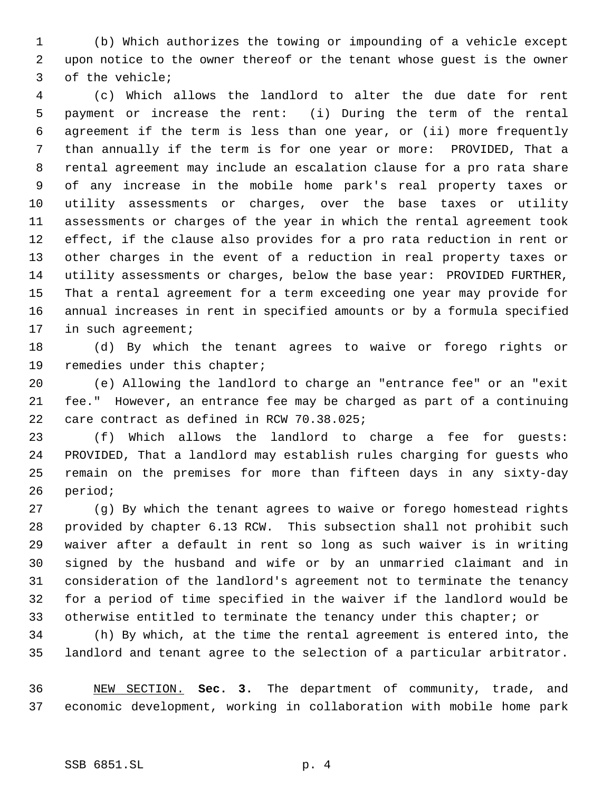(b) Which authorizes the towing or impounding of a vehicle except upon notice to the owner thereof or the tenant whose guest is the owner of the vehicle;

 (c) Which allows the landlord to alter the due date for rent payment or increase the rent: (i) During the term of the rental agreement if the term is less than one year, or (ii) more frequently than annually if the term is for one year or more: PROVIDED, That a rental agreement may include an escalation clause for a pro rata share of any increase in the mobile home park's real property taxes or utility assessments or charges, over the base taxes or utility assessments or charges of the year in which the rental agreement took effect, if the clause also provides for a pro rata reduction in rent or other charges in the event of a reduction in real property taxes or utility assessments or charges, below the base year: PROVIDED FURTHER, That a rental agreement for a term exceeding one year may provide for annual increases in rent in specified amounts or by a formula specified 17 in such agreement;

 (d) By which the tenant agrees to waive or forego rights or remedies under this chapter;

 (e) Allowing the landlord to charge an "entrance fee" or an "exit fee." However, an entrance fee may be charged as part of a continuing care contract as defined in RCW 70.38.025;

 (f) Which allows the landlord to charge a fee for guests: PROVIDED, That a landlord may establish rules charging for guests who remain on the premises for more than fifteen days in any sixty-day period;

 (g) By which the tenant agrees to waive or forego homestead rights provided by chapter 6.13 RCW. This subsection shall not prohibit such waiver after a default in rent so long as such waiver is in writing signed by the husband and wife or by an unmarried claimant and in consideration of the landlord's agreement not to terminate the tenancy for a period of time specified in the waiver if the landlord would be otherwise entitled to terminate the tenancy under this chapter; or

 (h) By which, at the time the rental agreement is entered into, the landlord and tenant agree to the selection of a particular arbitrator.

 NEW SECTION. **Sec. 3.** The department of community, trade, and economic development, working in collaboration with mobile home park